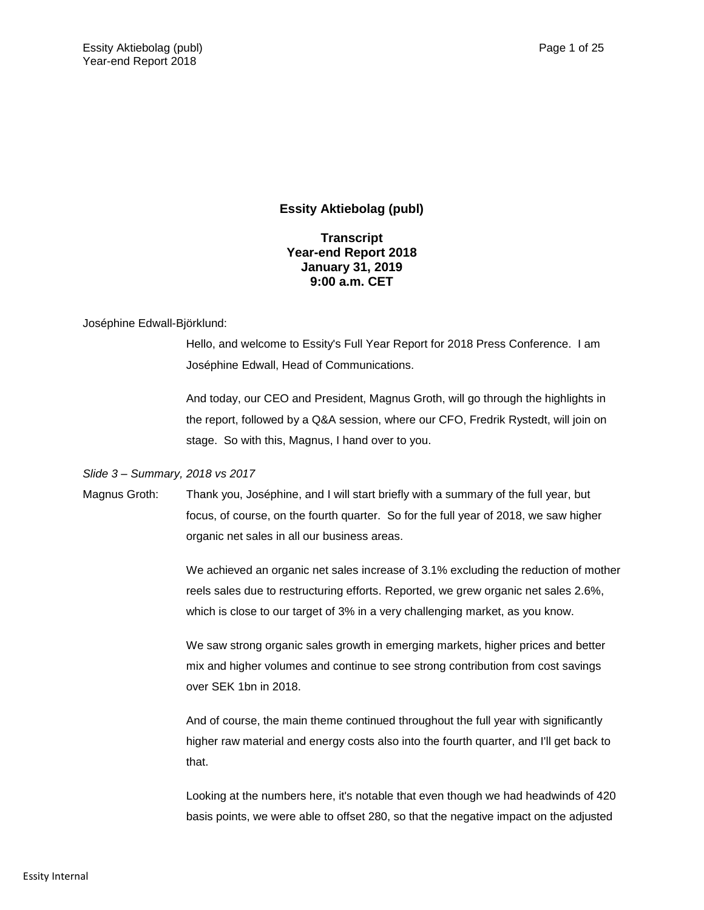# **Essity Aktiebolag (publ)**

# **Transcript Year-end Report 2018 January 31, 2019 9:00 a.m. CET**

## Joséphine Edwall-Björklund:

Hello, and welcome to Essity's Full Year Report for 2018 Press Conference. I am Joséphine Edwall, Head of Communications.

And today, our CEO and President, Magnus Groth, will go through the highlights in the report, followed by a Q&A session, where our CFO, Fredrik Rystedt, will join on stage. So with this, Magnus, I hand over to you.

### *Slide 3 – Summary, 2018 vs 2017*

Magnus Groth: Thank you, Joséphine, and I will start briefly with a summary of the full year, but focus, of course, on the fourth quarter. So for the full year of 2018, we saw higher organic net sales in all our business areas.

> We achieved an organic net sales increase of 3.1% excluding the reduction of mother reels sales due to restructuring efforts. Reported, we grew organic net sales 2.6%, which is close to our target of 3% in a very challenging market, as you know.

We saw strong organic sales growth in emerging markets, higher prices and better mix and higher volumes and continue to see strong contribution from cost savings over SEK 1bn in 2018.

And of course, the main theme continued throughout the full year with significantly higher raw material and energy costs also into the fourth quarter, and I'll get back to that.

Looking at the numbers here, it's notable that even though we had headwinds of 420 basis points, we were able to offset 280, so that the negative impact on the adjusted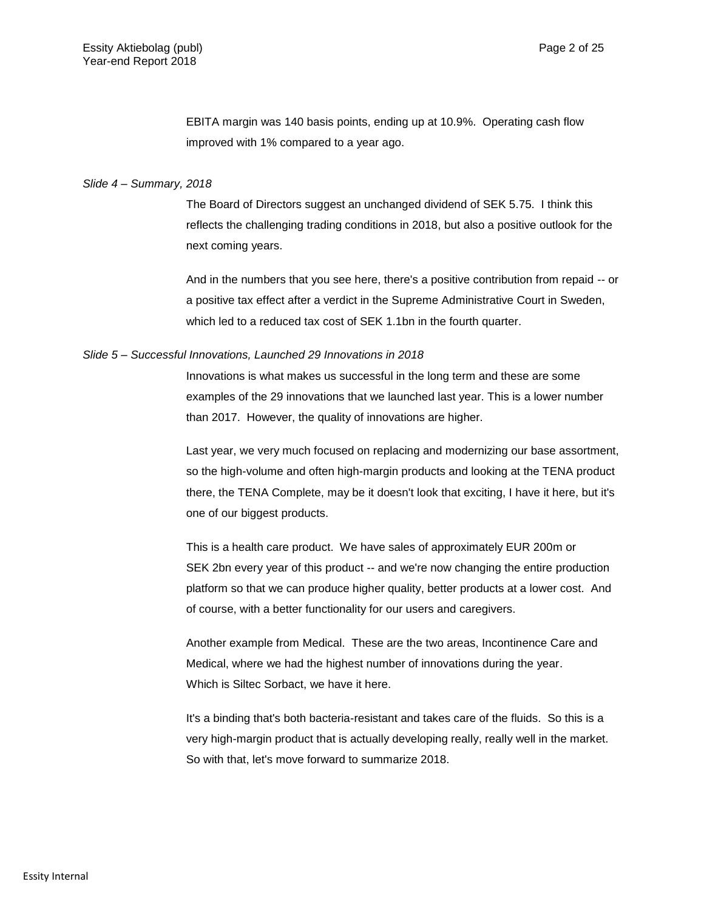EBITA margin was 140 basis points, ending up at 10.9%. Operating cash flow improved with 1% compared to a year ago.

### *Slide 4 – Summary, 2018*

The Board of Directors suggest an unchanged dividend of SEK 5.75. I think this reflects the challenging trading conditions in 2018, but also a positive outlook for the next coming years.

And in the numbers that you see here, there's a positive contribution from repaid -- or a positive tax effect after a verdict in the Supreme Administrative Court in Sweden, which led to a reduced tax cost of SEK 1.1bn in the fourth quarter.

### *Slide 5 – Successful Innovations, Launched 29 Innovations in 2018*

Innovations is what makes us successful in the long term and these are some examples of the 29 innovations that we launched last year. This is a lower number than 2017. However, the quality of innovations are higher.

Last year, we very much focused on replacing and modernizing our base assortment, so the high-volume and often high-margin products and looking at the TENA product there, the TENA Complete, may be it doesn't look that exciting, I have it here, but it's one of our biggest products.

This is a health care product. We have sales of approximately EUR 200m or SEK 2bn every year of this product -- and we're now changing the entire production platform so that we can produce higher quality, better products at a lower cost. And of course, with a better functionality for our users and caregivers.

Another example from Medical. These are the two areas, Incontinence Care and Medical, where we had the highest number of innovations during the year. Which is Siltec Sorbact, we have it here.

It's a binding that's both bacteria-resistant and takes care of the fluids. So this is a very high-margin product that is actually developing really, really well in the market. So with that, let's move forward to summarize 2018.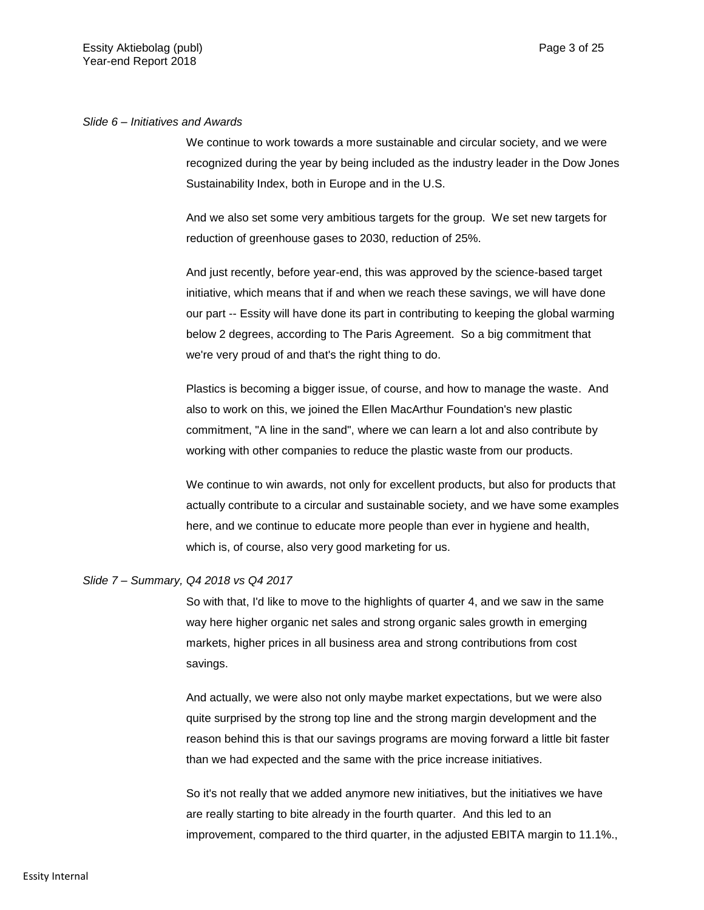### *Slide 6 – Initiatives and Awards*

We continue to work towards a more sustainable and circular society, and we were recognized during the year by being included as the industry leader in the Dow Jones Sustainability Index, both in Europe and in the U.S.

And we also set some very ambitious targets for the group. We set new targets for reduction of greenhouse gases to 2030, reduction of 25%.

And just recently, before year-end, this was approved by the science-based target initiative, which means that if and when we reach these savings, we will have done our part -- Essity will have done its part in contributing to keeping the global warming below 2 degrees, according to The Paris Agreement. So a big commitment that we're very proud of and that's the right thing to do.

Plastics is becoming a bigger issue, of course, and how to manage the waste. And also to work on this, we joined the Ellen MacArthur Foundation's new plastic commitment, "A line in the sand", where we can learn a lot and also contribute by working with other companies to reduce the plastic waste from our products.

We continue to win awards, not only for excellent products, but also for products that actually contribute to a circular and sustainable society, and we have some examples here, and we continue to educate more people than ever in hygiene and health, which is, of course, also very good marketing for us.

### *Slide 7 – Summary, Q4 2018 vs Q4 2017*

So with that, I'd like to move to the highlights of quarter 4, and we saw in the same way here higher organic net sales and strong organic sales growth in emerging markets, higher prices in all business area and strong contributions from cost savings.

And actually, we were also not only maybe market expectations, but we were also quite surprised by the strong top line and the strong margin development and the reason behind this is that our savings programs are moving forward a little bit faster than we had expected and the same with the price increase initiatives.

So it's not really that we added anymore new initiatives, but the initiatives we have are really starting to bite already in the fourth quarter. And this led to an improvement, compared to the third quarter, in the adjusted EBITA margin to 11.1%.,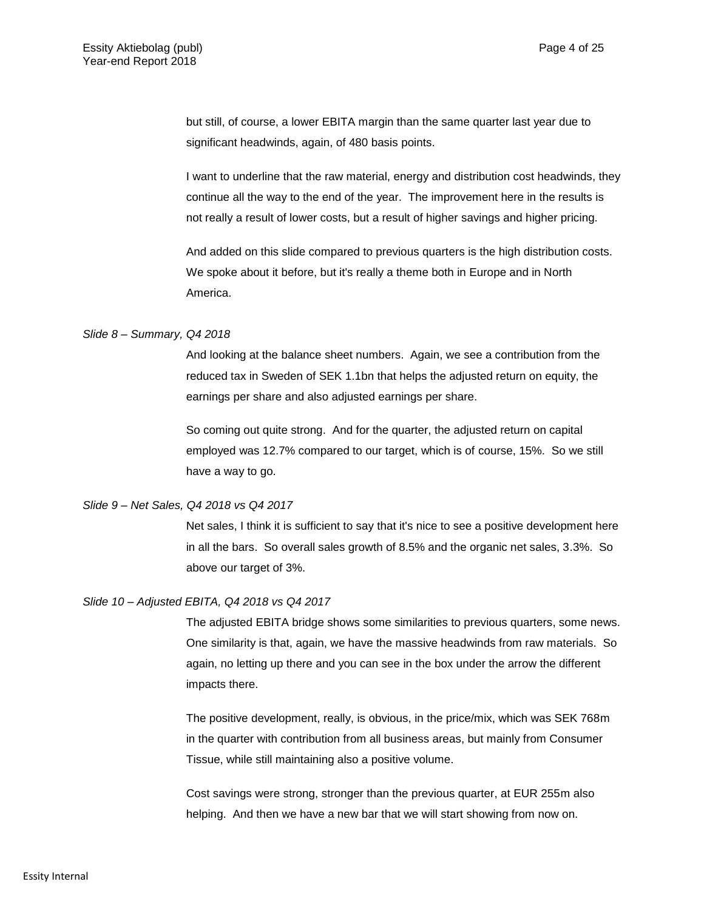but still, of course, a lower EBITA margin than the same quarter last year due to significant headwinds, again, of 480 basis points.

I want to underline that the raw material, energy and distribution cost headwinds, they continue all the way to the end of the year. The improvement here in the results is not really a result of lower costs, but a result of higher savings and higher pricing.

And added on this slide compared to previous quarters is the high distribution costs. We spoke about it before, but it's really a theme both in Europe and in North America.

### *Slide 8 – Summary, Q4 2018*

And looking at the balance sheet numbers. Again, we see a contribution from the reduced tax in Sweden of SEK 1.1bn that helps the adjusted return on equity, the earnings per share and also adjusted earnings per share.

So coming out quite strong. And for the quarter, the adjusted return on capital employed was 12.7% compared to our target, which is of course, 15%. So we still have a way to go.

### *Slide 9 – Net Sales, Q4 2018 vs Q4 2017*

Net sales, I think it is sufficient to say that it's nice to see a positive development here in all the bars. So overall sales growth of 8.5% and the organic net sales, 3.3%. So above our target of 3%.

### *Slide 10 – Adjusted EBITA, Q4 2018 vs Q4 2017*

The adjusted EBITA bridge shows some similarities to previous quarters, some news. One similarity is that, again, we have the massive headwinds from raw materials. So again, no letting up there and you can see in the box under the arrow the different impacts there.

The positive development, really, is obvious, in the price/mix, which was SEK 768m in the quarter with contribution from all business areas, but mainly from Consumer Tissue, while still maintaining also a positive volume.

Cost savings were strong, stronger than the previous quarter, at EUR 255m also helping. And then we have a new bar that we will start showing from now on.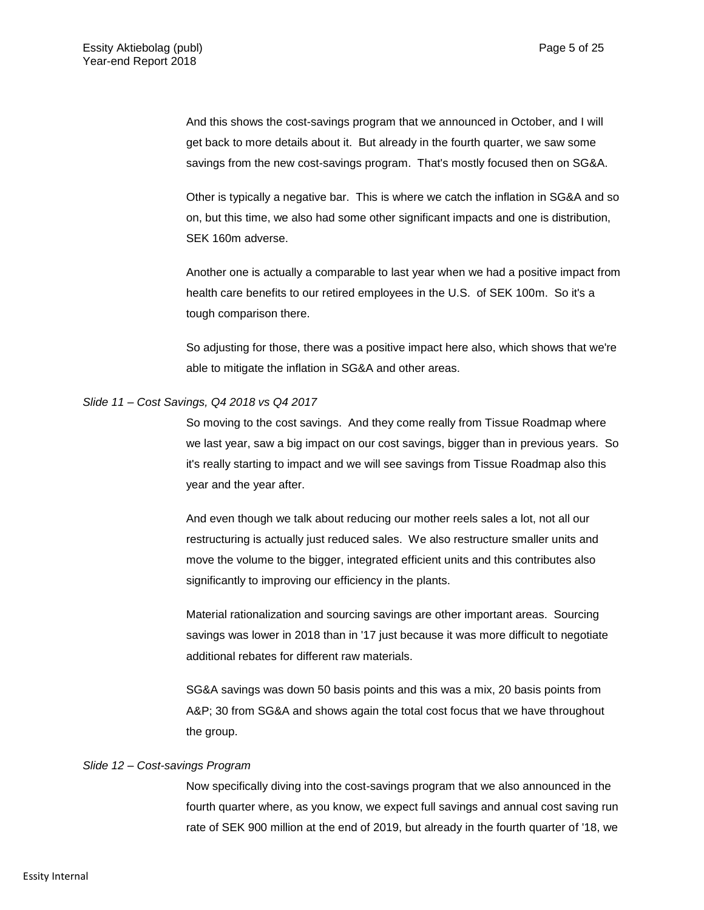And this shows the cost-savings program that we announced in October, and I will get back to more details about it. But already in the fourth quarter, we saw some savings from the new cost-savings program. That's mostly focused then on SG&A.

Other is typically a negative bar. This is where we catch the inflation in SG&A and so on, but this time, we also had some other significant impacts and one is distribution, SEK 160m adverse.

Another one is actually a comparable to last year when we had a positive impact from health care benefits to our retired employees in the U.S. of SEK 100m. So it's a tough comparison there.

So adjusting for those, there was a positive impact here also, which shows that we're able to mitigate the inflation in SG&A and other areas.

### *Slide 11 – Cost Savings, Q4 2018 vs Q4 2017*

So moving to the cost savings. And they come really from Tissue Roadmap where we last year, saw a big impact on our cost savings, bigger than in previous years. So it's really starting to impact and we will see savings from Tissue Roadmap also this year and the year after.

And even though we talk about reducing our mother reels sales a lot, not all our restructuring is actually just reduced sales. We also restructure smaller units and move the volume to the bigger, integrated efficient units and this contributes also significantly to improving our efficiency in the plants.

Material rationalization and sourcing savings are other important areas. Sourcing savings was lower in 2018 than in '17 just because it was more difficult to negotiate additional rebates for different raw materials.

SG&A savings was down 50 basis points and this was a mix, 20 basis points from A&P; 30 from SG&A and shows again the total cost focus that we have throughout the group.

## *Slide 12 – Cost-savings Program*

Now specifically diving into the cost-savings program that we also announced in the fourth quarter where, as you know, we expect full savings and annual cost saving run rate of SEK 900 million at the end of 2019, but already in the fourth quarter of '18, we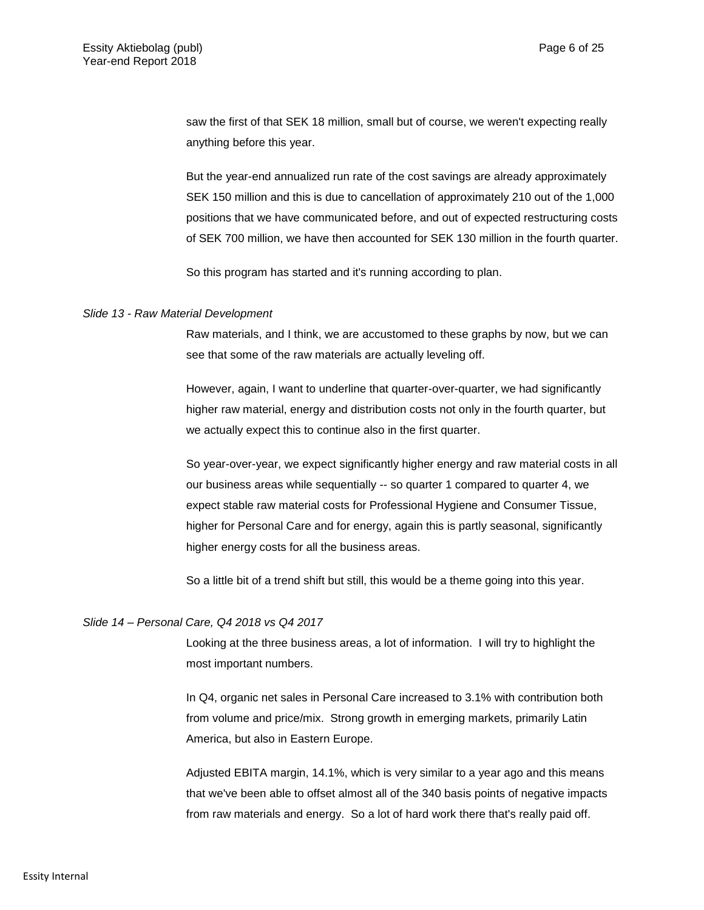saw the first of that SEK 18 million, small but of course, we weren't expecting really anything before this year.

But the year-end annualized run rate of the cost savings are already approximately SEK 150 million and this is due to cancellation of approximately 210 out of the 1,000 positions that we have communicated before, and out of expected restructuring costs of SEK 700 million, we have then accounted for SEK 130 million in the fourth quarter.

So this program has started and it's running according to plan.

#### *Slide 13 - Raw Material Development*

Raw materials, and I think, we are accustomed to these graphs by now, but we can see that some of the raw materials are actually leveling off.

However, again, I want to underline that quarter-over-quarter, we had significantly higher raw material, energy and distribution costs not only in the fourth quarter, but we actually expect this to continue also in the first quarter.

So year-over-year, we expect significantly higher energy and raw material costs in all our business areas while sequentially -- so quarter 1 compared to quarter 4, we expect stable raw material costs for Professional Hygiene and Consumer Tissue, higher for Personal Care and for energy, again this is partly seasonal, significantly higher energy costs for all the business areas.

So a little bit of a trend shift but still, this would be a theme going into this year.

### *Slide 14 – Personal Care, Q4 2018 vs Q4 2017*

Looking at the three business areas, a lot of information. I will try to highlight the most important numbers.

In Q4, organic net sales in Personal Care increased to 3.1% with contribution both from volume and price/mix. Strong growth in emerging markets, primarily Latin America, but also in Eastern Europe.

Adjusted EBITA margin, 14.1%, which is very similar to a year ago and this means that we've been able to offset almost all of the 340 basis points of negative impacts from raw materials and energy. So a lot of hard work there that's really paid off.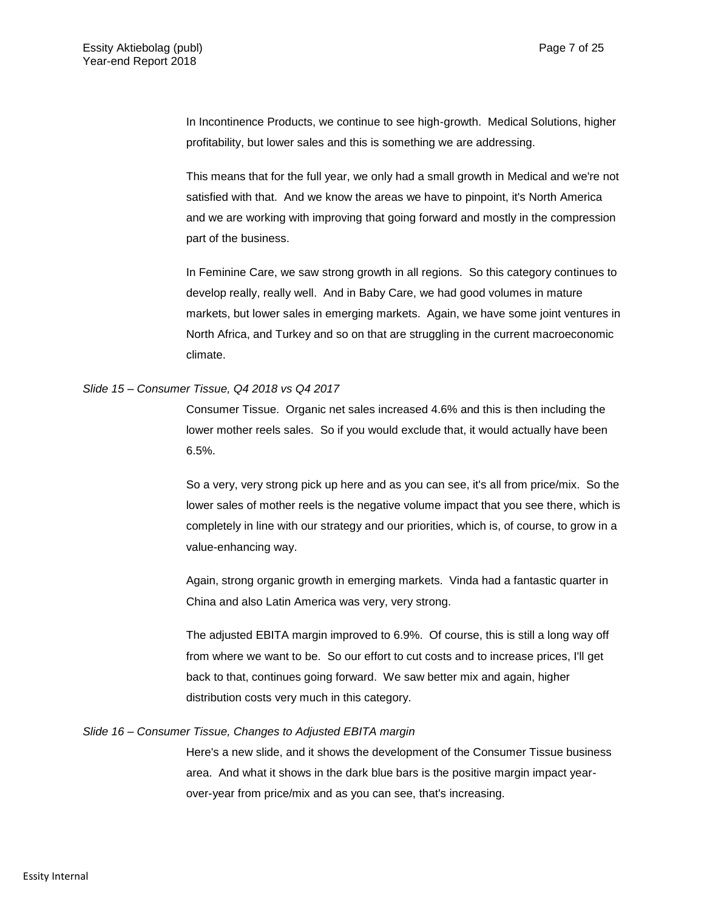In Incontinence Products, we continue to see high-growth. Medical Solutions, higher profitability, but lower sales and this is something we are addressing.

This means that for the full year, we only had a small growth in Medical and we're not satisfied with that. And we know the areas we have to pinpoint, it's North America and we are working with improving that going forward and mostly in the compression part of the business.

In Feminine Care, we saw strong growth in all regions. So this category continues to develop really, really well. And in Baby Care, we had good volumes in mature markets, but lower sales in emerging markets. Again, we have some joint ventures in North Africa, and Turkey and so on that are struggling in the current macroeconomic climate.

### *Slide 15 – Consumer Tissue, Q4 2018 vs Q4 2017*

Consumer Tissue. Organic net sales increased 4.6% and this is then including the lower mother reels sales. So if you would exclude that, it would actually have been 6.5%.

So a very, very strong pick up here and as you can see, it's all from price/mix. So the lower sales of mother reels is the negative volume impact that you see there, which is completely in line with our strategy and our priorities, which is, of course, to grow in a value-enhancing way.

Again, strong organic growth in emerging markets. Vinda had a fantastic quarter in China and also Latin America was very, very strong.

The adjusted EBITA margin improved to 6.9%. Of course, this is still a long way off from where we want to be. So our effort to cut costs and to increase prices, I'll get back to that, continues going forward. We saw better mix and again, higher distribution costs very much in this category.

### *Slide 16 – Consumer Tissue, Changes to Adjusted EBITA margin*

Here's a new slide, and it shows the development of the Consumer Tissue business area. And what it shows in the dark blue bars is the positive margin impact yearover-year from price/mix and as you can see, that's increasing.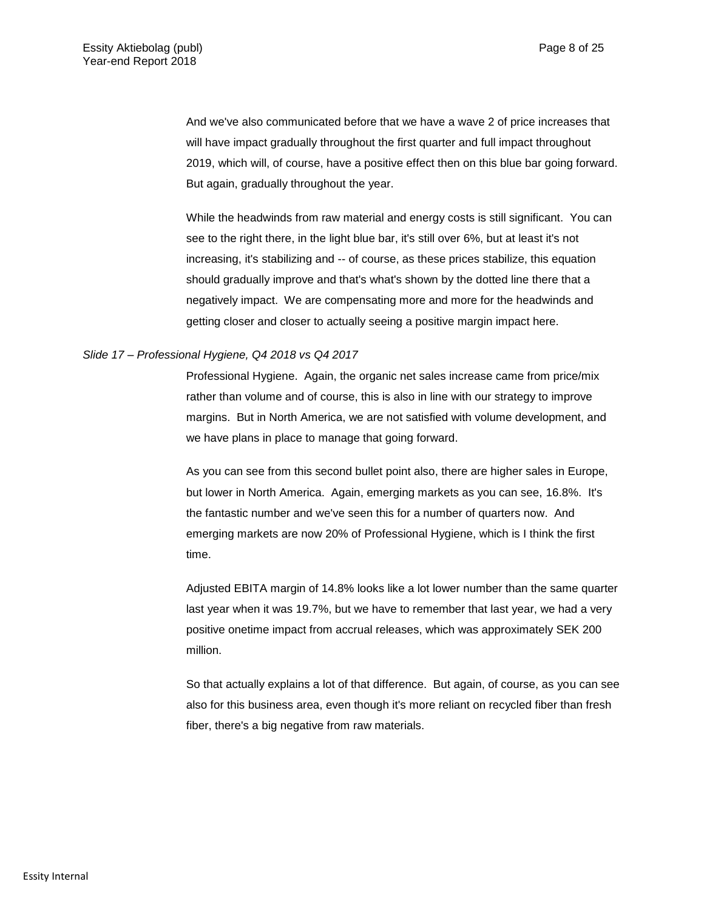And we've also communicated before that we have a wave 2 of price increases that will have impact gradually throughout the first quarter and full impact throughout 2019, which will, of course, have a positive effect then on this blue bar going forward. But again, gradually throughout the year.

While the headwinds from raw material and energy costs is still significant. You can see to the right there, in the light blue bar, it's still over 6%, but at least it's not increasing, it's stabilizing and -- of course, as these prices stabilize, this equation should gradually improve and that's what's shown by the dotted line there that a negatively impact. We are compensating more and more for the headwinds and getting closer and closer to actually seeing a positive margin impact here.

### *Slide 17 – Professional Hygiene, Q4 2018 vs Q4 2017*

Professional Hygiene. Again, the organic net sales increase came from price/mix rather than volume and of course, this is also in line with our strategy to improve margins. But in North America, we are not satisfied with volume development, and we have plans in place to manage that going forward.

As you can see from this second bullet point also, there are higher sales in Europe, but lower in North America. Again, emerging markets as you can see, 16.8%. It's the fantastic number and we've seen this for a number of quarters now. And emerging markets are now 20% of Professional Hygiene, which is I think the first time.

Adjusted EBITA margin of 14.8% looks like a lot lower number than the same quarter last year when it was 19.7%, but we have to remember that last year, we had a very positive onetime impact from accrual releases, which was approximately SEK 200 million.

So that actually explains a lot of that difference. But again, of course, as you can see also for this business area, even though it's more reliant on recycled fiber than fresh fiber, there's a big negative from raw materials.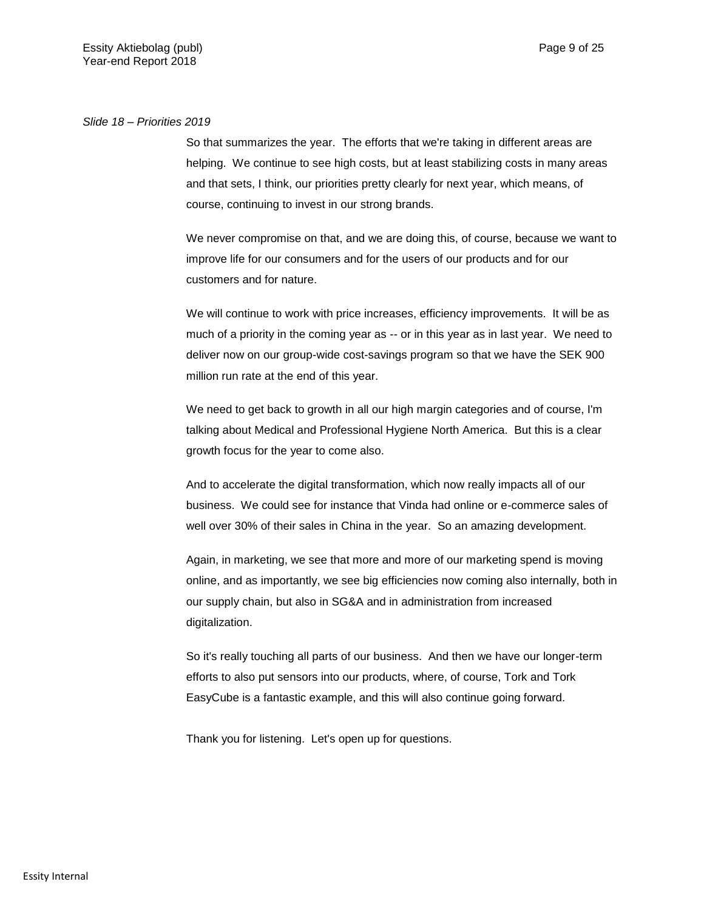### *Slide 18 – Priorities 2019*

So that summarizes the year. The efforts that we're taking in different areas are helping. We continue to see high costs, but at least stabilizing costs in many areas and that sets, I think, our priorities pretty clearly for next year, which means, of course, continuing to invest in our strong brands.

We never compromise on that, and we are doing this, of course, because we want to improve life for our consumers and for the users of our products and for our customers and for nature.

We will continue to work with price increases, efficiency improvements. It will be as much of a priority in the coming year as -- or in this year as in last year. We need to deliver now on our group-wide cost-savings program so that we have the SEK 900 million run rate at the end of this year.

We need to get back to growth in all our high margin categories and of course, I'm talking about Medical and Professional Hygiene North America. But this is a clear growth focus for the year to come also.

And to accelerate the digital transformation, which now really impacts all of our business. We could see for instance that Vinda had online or e-commerce sales of well over 30% of their sales in China in the year. So an amazing development.

Again, in marketing, we see that more and more of our marketing spend is moving online, and as importantly, we see big efficiencies now coming also internally, both in our supply chain, but also in SG&A and in administration from increased digitalization.

So it's really touching all parts of our business. And then we have our longer-term efforts to also put sensors into our products, where, of course, Tork and Tork EasyCube is a fantastic example, and this will also continue going forward.

Thank you for listening. Let's open up for questions.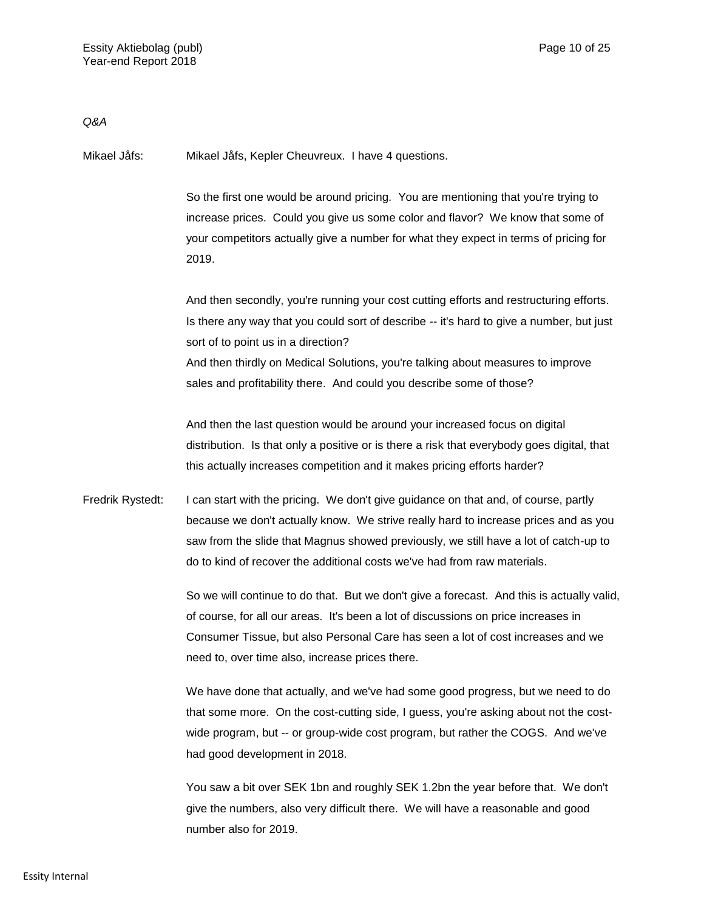*Q&A*

Mikael Jåfs: Mikael Jåfs, Kepler Cheuvreux. I have 4 questions.

So the first one would be around pricing. You are mentioning that you're trying to increase prices. Could you give us some color and flavor? We know that some of your competitors actually give a number for what they expect in terms of pricing for 2019.

And then secondly, you're running your cost cutting efforts and restructuring efforts. Is there any way that you could sort of describe -- it's hard to give a number, but just sort of to point us in a direction? And then thirdly on Medical Solutions, you're talking about measures to improve sales and profitability there. And could you describe some of those?

And then the last question would be around your increased focus on digital distribution. Is that only a positive or is there a risk that everybody goes digital, that this actually increases competition and it makes pricing efforts harder?

Fredrik Rystedt: I can start with the pricing. We don't give guidance on that and, of course, partly because we don't actually know. We strive really hard to increase prices and as you saw from the slide that Magnus showed previously, we still have a lot of catch-up to do to kind of recover the additional costs we've had from raw materials.

> So we will continue to do that. But we don't give a forecast. And this is actually valid, of course, for all our areas. It's been a lot of discussions on price increases in Consumer Tissue, but also Personal Care has seen a lot of cost increases and we need to, over time also, increase prices there.

We have done that actually, and we've had some good progress, but we need to do that some more. On the cost-cutting side, I guess, you're asking about not the costwide program, but -- or group-wide cost program, but rather the COGS. And we've had good development in 2018.

You saw a bit over SEK 1bn and roughly SEK 1.2bn the year before that. We don't give the numbers, also very difficult there. We will have a reasonable and good number also for 2019.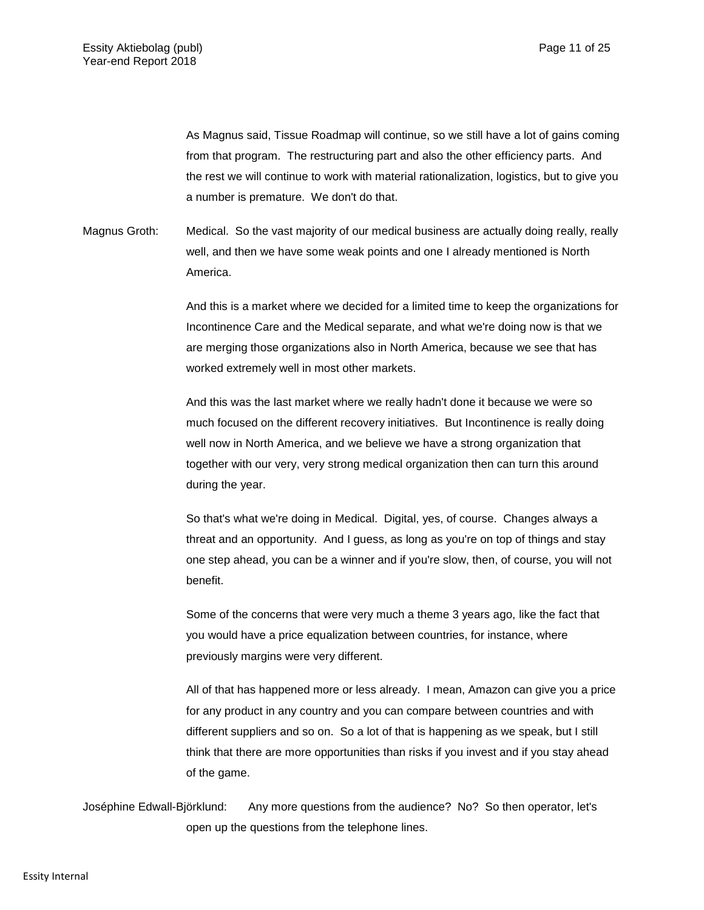As Magnus said, Tissue Roadmap will continue, so we still have a lot of gains coming from that program. The restructuring part and also the other efficiency parts. And the rest we will continue to work with material rationalization, logistics, but to give you a number is premature. We don't do that.

Magnus Groth: Medical. So the vast majority of our medical business are actually doing really, really well, and then we have some weak points and one I already mentioned is North America.

> And this is a market where we decided for a limited time to keep the organizations for Incontinence Care and the Medical separate, and what we're doing now is that we are merging those organizations also in North America, because we see that has worked extremely well in most other markets.

And this was the last market where we really hadn't done it because we were so much focused on the different recovery initiatives. But Incontinence is really doing well now in North America, and we believe we have a strong organization that together with our very, very strong medical organization then can turn this around during the year.

So that's what we're doing in Medical. Digital, yes, of course. Changes always a threat and an opportunity. And I guess, as long as you're on top of things and stay one step ahead, you can be a winner and if you're slow, then, of course, you will not benefit.

Some of the concerns that were very much a theme 3 years ago, like the fact that you would have a price equalization between countries, for instance, where previously margins were very different.

All of that has happened more or less already. I mean, Amazon can give you a price for any product in any country and you can compare between countries and with different suppliers and so on. So a lot of that is happening as we speak, but I still think that there are more opportunities than risks if you invest and if you stay ahead of the game.

Joséphine Edwall-Björklund: Any more questions from the audience? No? So then operator, let's open up the questions from the telephone lines.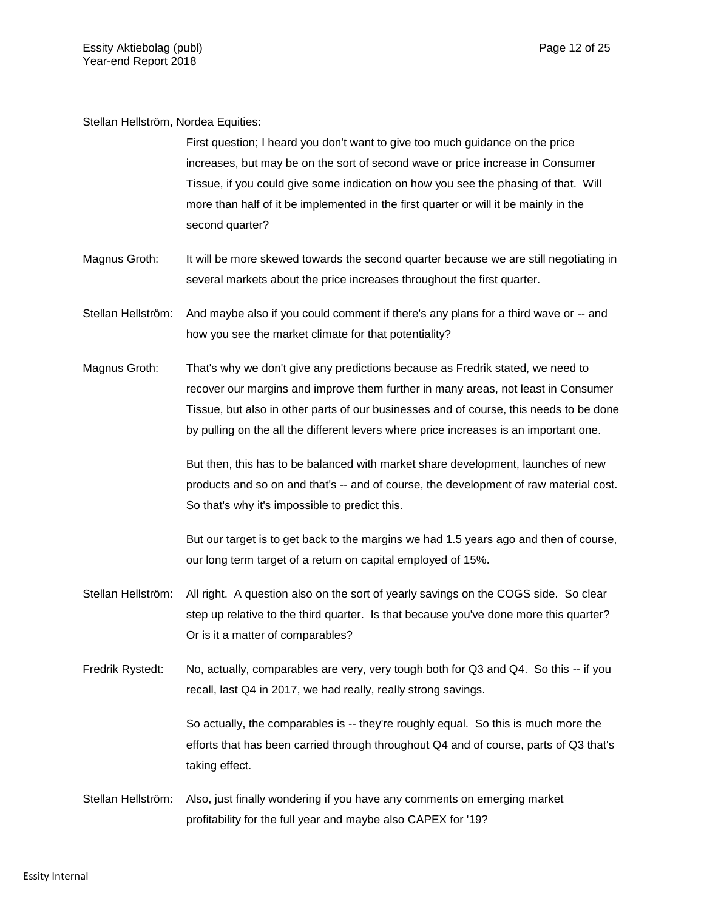Stellan Hellström, Nordea Equities:

First question; I heard you don't want to give too much guidance on the price increases, but may be on the sort of second wave or price increase in Consumer Tissue, if you could give some indication on how you see the phasing of that. Will more than half of it be implemented in the first quarter or will it be mainly in the second quarter?

- Magnus Groth: It will be more skewed towards the second quarter because we are still negotiating in several markets about the price increases throughout the first quarter.
- Stellan Hellström: And maybe also if you could comment if there's any plans for a third wave or -- and how you see the market climate for that potentiality?
- Magnus Groth: That's why we don't give any predictions because as Fredrik stated, we need to recover our margins and improve them further in many areas, not least in Consumer Tissue, but also in other parts of our businesses and of course, this needs to be done by pulling on the all the different levers where price increases is an important one.

But then, this has to be balanced with market share development, launches of new products and so on and that's -- and of course, the development of raw material cost. So that's why it's impossible to predict this.

But our target is to get back to the margins we had 1.5 years ago and then of course, our long term target of a return on capital employed of 15%.

- Stellan Hellström: All right. A question also on the sort of yearly savings on the COGS side. So clear step up relative to the third quarter. Is that because you've done more this quarter? Or is it a matter of comparables?
- Fredrik Rystedt: No, actually, comparables are very, very tough both for Q3 and Q4. So this -- if you recall, last Q4 in 2017, we had really, really strong savings.

So actually, the comparables is -- they're roughly equal. So this is much more the efforts that has been carried through throughout Q4 and of course, parts of Q3 that's taking effect.

Stellan Hellström: Also, just finally wondering if you have any comments on emerging market profitability for the full year and maybe also CAPEX for '19?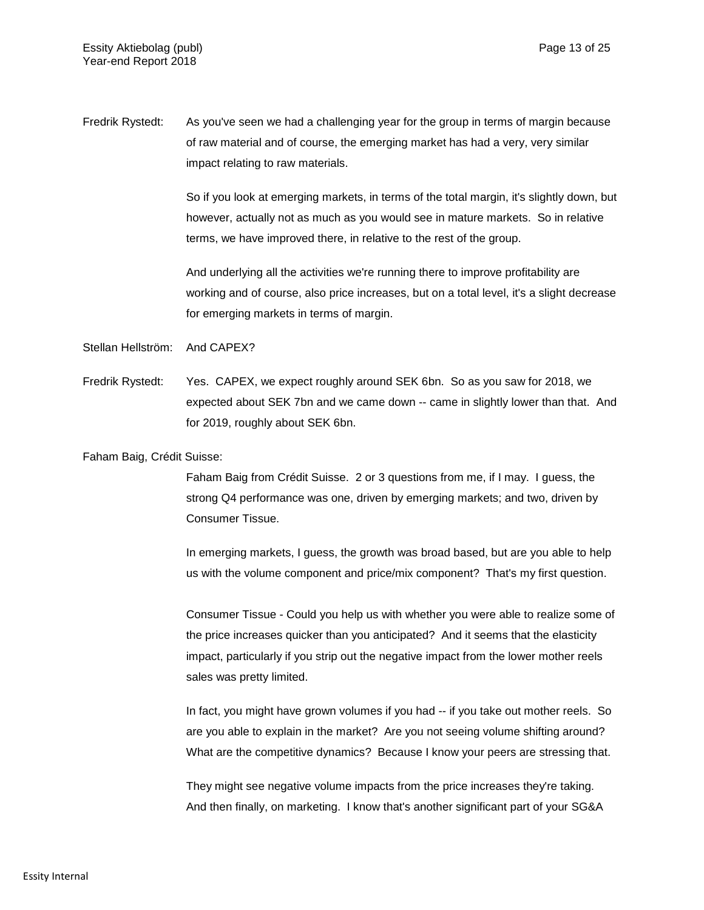Fredrik Rystedt: As you've seen we had a challenging year for the group in terms of margin because of raw material and of course, the emerging market has had a very, very similar impact relating to raw materials.

> So if you look at emerging markets, in terms of the total margin, it's slightly down, but however, actually not as much as you would see in mature markets. So in relative terms, we have improved there, in relative to the rest of the group.

> And underlying all the activities we're running there to improve profitability are working and of course, also price increases, but on a total level, it's a slight decrease for emerging markets in terms of margin.

Stellan Hellström: And CAPEX?

Fredrik Rystedt: Yes. CAPEX, we expect roughly around SEK 6bn. So as you saw for 2018, we expected about SEK 7bn and we came down -- came in slightly lower than that. And for 2019, roughly about SEK 6bn.

Faham Baig, Crédit Suisse:

Faham Baig from Crédit Suisse. 2 or 3 questions from me, if I may. I guess, the strong Q4 performance was one, driven by emerging markets; and two, driven by Consumer Tissue.

In emerging markets, I guess, the growth was broad based, but are you able to help us with the volume component and price/mix component? That's my first question.

Consumer Tissue - Could you help us with whether you were able to realize some of the price increases quicker than you anticipated? And it seems that the elasticity impact, particularly if you strip out the negative impact from the lower mother reels sales was pretty limited.

In fact, you might have grown volumes if you had -- if you take out mother reels. So are you able to explain in the market? Are you not seeing volume shifting around? What are the competitive dynamics? Because I know your peers are stressing that.

They might see negative volume impacts from the price increases they're taking. And then finally, on marketing. I know that's another significant part of your SG&A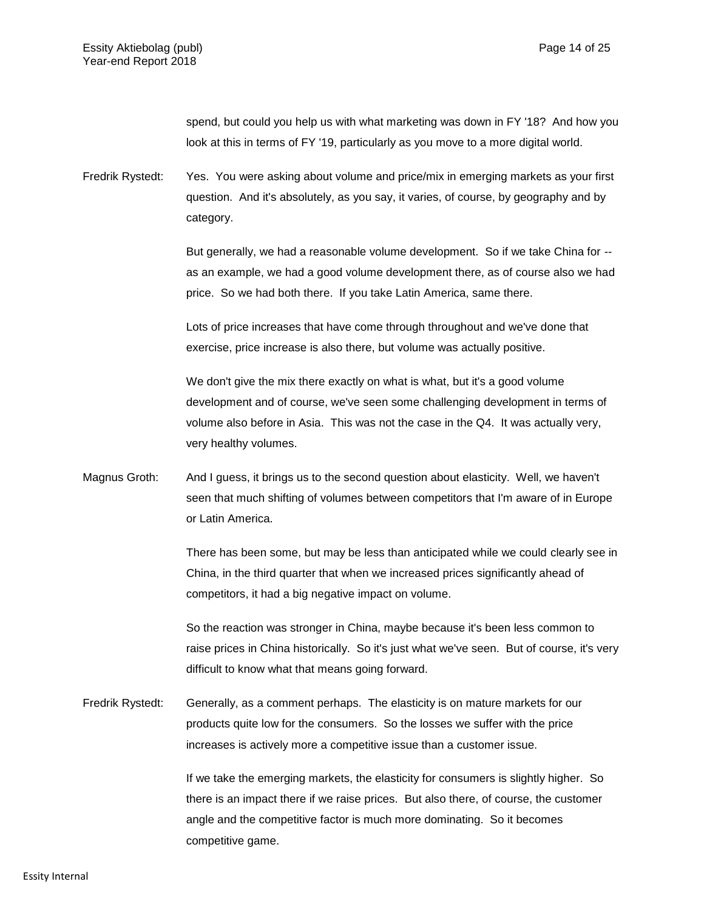spend, but could you help us with what marketing was down in FY '18? And how you look at this in terms of FY '19, particularly as you move to a more digital world.

Fredrik Rystedt: Yes. You were asking about volume and price/mix in emerging markets as your first question. And it's absolutely, as you say, it varies, of course, by geography and by category.

> But generally, we had a reasonable volume development. So if we take China for - as an example, we had a good volume development there, as of course also we had price. So we had both there. If you take Latin America, same there.

Lots of price increases that have come through throughout and we've done that exercise, price increase is also there, but volume was actually positive.

We don't give the mix there exactly on what is what, but it's a good volume development and of course, we've seen some challenging development in terms of volume also before in Asia. This was not the case in the Q4. It was actually very, very healthy volumes.

Magnus Groth: And I guess, it brings us to the second question about elasticity. Well, we haven't seen that much shifting of volumes between competitors that I'm aware of in Europe or Latin America.

> There has been some, but may be less than anticipated while we could clearly see in China, in the third quarter that when we increased prices significantly ahead of competitors, it had a big negative impact on volume.

> So the reaction was stronger in China, maybe because it's been less common to raise prices in China historically. So it's just what we've seen. But of course, it's very difficult to know what that means going forward.

Fredrik Rystedt: Generally, as a comment perhaps. The elasticity is on mature markets for our products quite low for the consumers. So the losses we suffer with the price increases is actively more a competitive issue than a customer issue.

> If we take the emerging markets, the elasticity for consumers is slightly higher. So there is an impact there if we raise prices. But also there, of course, the customer angle and the competitive factor is much more dominating. So it becomes competitive game.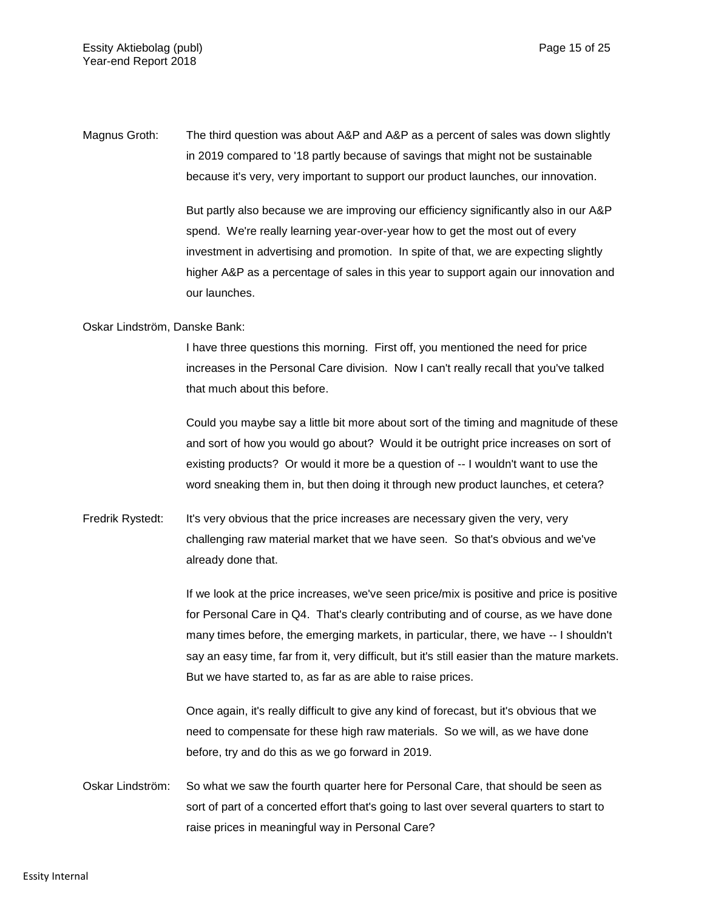Magnus Groth: The third question was about A&P and A&P as a percent of sales was down slightly in 2019 compared to '18 partly because of savings that might not be sustainable because it's very, very important to support our product launches, our innovation.

> But partly also because we are improving our efficiency significantly also in our A&P spend. We're really learning year-over-year how to get the most out of every investment in advertising and promotion. In spite of that, we are expecting slightly higher A&P as a percentage of sales in this year to support again our innovation and our launches.

Oskar Lindström, Danske Bank:

I have three questions this morning. First off, you mentioned the need for price increases in the Personal Care division. Now I can't really recall that you've talked that much about this before.

Could you maybe say a little bit more about sort of the timing and magnitude of these and sort of how you would go about? Would it be outright price increases on sort of existing products? Or would it more be a question of -- I wouldn't want to use the word sneaking them in, but then doing it through new product launches, et cetera?

Fredrik Rystedt: It's very obvious that the price increases are necessary given the very, very challenging raw material market that we have seen. So that's obvious and we've already done that.

> If we look at the price increases, we've seen price/mix is positive and price is positive for Personal Care in Q4. That's clearly contributing and of course, as we have done many times before, the emerging markets, in particular, there, we have -- I shouldn't say an easy time, far from it, very difficult, but it's still easier than the mature markets. But we have started to, as far as are able to raise prices.

Once again, it's really difficult to give any kind of forecast, but it's obvious that we need to compensate for these high raw materials. So we will, as we have done before, try and do this as we go forward in 2019.

Oskar Lindström: So what we saw the fourth quarter here for Personal Care, that should be seen as sort of part of a concerted effort that's going to last over several quarters to start to raise prices in meaningful way in Personal Care?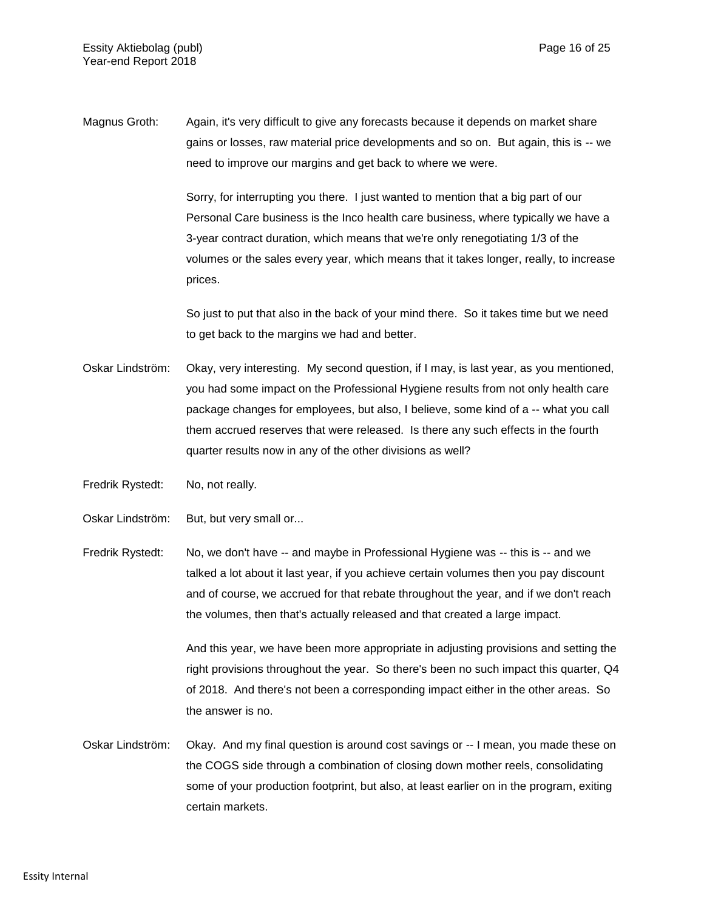Magnus Groth: Again, it's very difficult to give any forecasts because it depends on market share gains or losses, raw material price developments and so on. But again, this is -- we need to improve our margins and get back to where we were.

> Sorry, for interrupting you there. I just wanted to mention that a big part of our Personal Care business is the Inco health care business, where typically we have a 3-year contract duration, which means that we're only renegotiating 1/3 of the volumes or the sales every year, which means that it takes longer, really, to increase prices.

So just to put that also in the back of your mind there. So it takes time but we need to get back to the margins we had and better.

- Oskar Lindström: Okay, very interesting. My second question, if I may, is last year, as you mentioned, you had some impact on the Professional Hygiene results from not only health care package changes for employees, but also, I believe, some kind of a -- what you call them accrued reserves that were released. Is there any such effects in the fourth quarter results now in any of the other divisions as well?
- Fredrik Rystedt: No, not really.
- Oskar Lindström: But, but very small or...
- Fredrik Rystedt: No, we don't have -- and maybe in Professional Hygiene was -- this is -- and we talked a lot about it last year, if you achieve certain volumes then you pay discount and of course, we accrued for that rebate throughout the year, and if we don't reach the volumes, then that's actually released and that created a large impact.

And this year, we have been more appropriate in adjusting provisions and setting the right provisions throughout the year. So there's been no such impact this quarter, Q4 of 2018. And there's not been a corresponding impact either in the other areas. So the answer is no.

Oskar Lindström: Okay. And my final question is around cost savings or -- I mean, you made these on the COGS side through a combination of closing down mother reels, consolidating some of your production footprint, but also, at least earlier on in the program, exiting certain markets.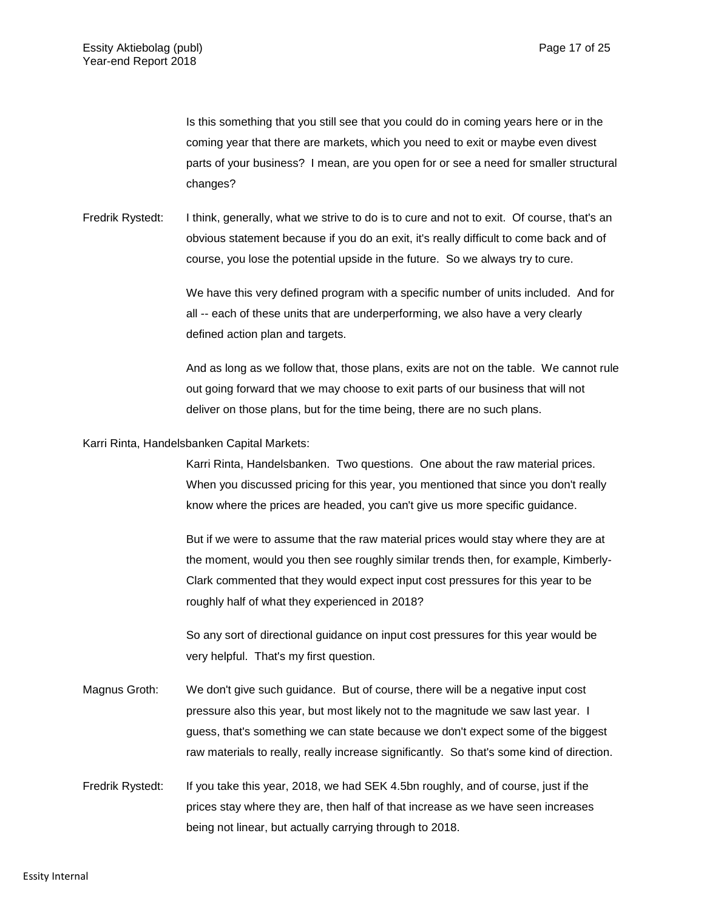Is this something that you still see that you could do in coming years here or in the coming year that there are markets, which you need to exit or maybe even divest parts of your business? I mean, are you open for or see a need for smaller structural changes?

Fredrik Rystedt: I think, generally, what we strive to do is to cure and not to exit. Of course, that's an obvious statement because if you do an exit, it's really difficult to come back and of course, you lose the potential upside in the future. So we always try to cure.

> We have this very defined program with a specific number of units included. And for all -- each of these units that are underperforming, we also have a very clearly defined action plan and targets.

> And as long as we follow that, those plans, exits are not on the table. We cannot rule out going forward that we may choose to exit parts of our business that will not deliver on those plans, but for the time being, there are no such plans.

Karri Rinta, Handelsbanken Capital Markets:

Karri Rinta, Handelsbanken. Two questions. One about the raw material prices. When you discussed pricing for this year, you mentioned that since you don't really know where the prices are headed, you can't give us more specific guidance.

But if we were to assume that the raw material prices would stay where they are at the moment, would you then see roughly similar trends then, for example, Kimberly-Clark commented that they would expect input cost pressures for this year to be roughly half of what they experienced in 2018?

So any sort of directional guidance on input cost pressures for this year would be very helpful. That's my first question.

- Magnus Groth: We don't give such guidance. But of course, there will be a negative input cost pressure also this year, but most likely not to the magnitude we saw last year. I guess, that's something we can state because we don't expect some of the biggest raw materials to really, really increase significantly. So that's some kind of direction.
- Fredrik Rystedt: If you take this year, 2018, we had SEK 4.5bn roughly, and of course, just if the prices stay where they are, then half of that increase as we have seen increases being not linear, but actually carrying through to 2018.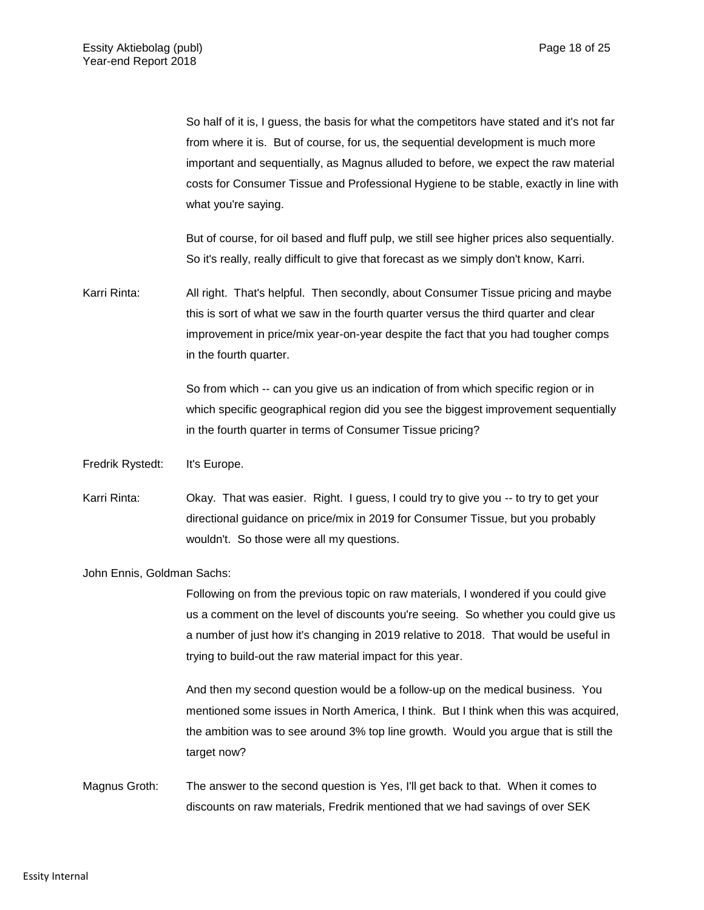So half of it is, I guess, the basis for what the competitors have stated and it's not far from where it is. But of course, for us, the sequential development is much more important and sequentially, as Magnus alluded to before, we expect the raw material costs for Consumer Tissue and Professional Hygiene to be stable, exactly in line with what you're saying.

But of course, for oil based and fluff pulp, we still see higher prices also sequentially. So it's really, really difficult to give that forecast as we simply don't know, Karri.

Karri Rinta: All right. That's helpful. Then secondly, about Consumer Tissue pricing and maybe this is sort of what we saw in the fourth quarter versus the third quarter and clear improvement in price/mix year-on-year despite the fact that you had tougher comps in the fourth quarter.

> So from which -- can you give us an indication of from which specific region or in which specific geographical region did you see the biggest improvement sequentially in the fourth quarter in terms of Consumer Tissue pricing?

- Fredrik Rystedt: It's Europe.
- Karri Rinta: Okay. That was easier. Right. I guess, I could try to give you -- to try to get your directional guidance on price/mix in 2019 for Consumer Tissue, but you probably wouldn't. So those were all my questions.

John Ennis, Goldman Sachs:

Following on from the previous topic on raw materials, I wondered if you could give us a comment on the level of discounts you're seeing. So whether you could give us a number of just how it's changing in 2019 relative to 2018. That would be useful in trying to build-out the raw material impact for this year.

And then my second question would be a follow-up on the medical business. You mentioned some issues in North America, I think. But I think when this was acquired, the ambition was to see around 3% top line growth. Would you argue that is still the target now?

Magnus Groth: The answer to the second question is Yes, I'll get back to that. When it comes to discounts on raw materials, Fredrik mentioned that we had savings of over SEK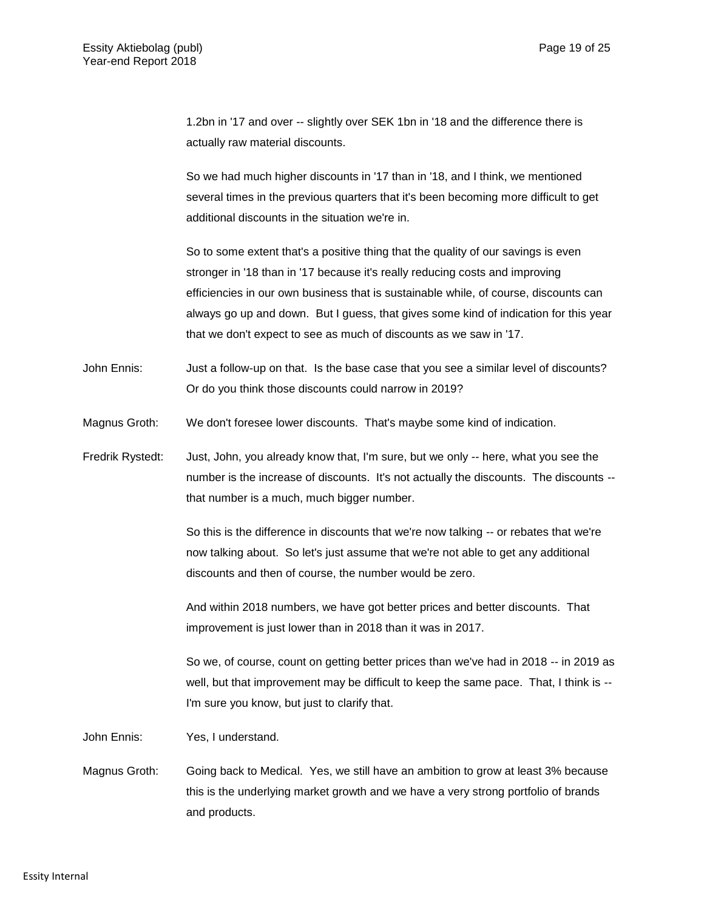1.2bn in '17 and over -- slightly over SEK 1bn in '18 and the difference there is actually raw material discounts.

So we had much higher discounts in '17 than in '18, and I think, we mentioned several times in the previous quarters that it's been becoming more difficult to get additional discounts in the situation we're in.

So to some extent that's a positive thing that the quality of our savings is even stronger in '18 than in '17 because it's really reducing costs and improving efficiencies in our own business that is sustainable while, of course, discounts can always go up and down. But I guess, that gives some kind of indication for this year that we don't expect to see as much of discounts as we saw in '17.

- John Ennis: Just a follow-up on that. Is the base case that you see a similar level of discounts? Or do you think those discounts could narrow in 2019?
- Magnus Groth: We don't foresee lower discounts. That's maybe some kind of indication.
- Fredrik Rystedt: Just, John, you already know that, I'm sure, but we only -- here, what you see the number is the increase of discounts. It's not actually the discounts. The discounts - that number is a much, much bigger number.

So this is the difference in discounts that we're now talking -- or rebates that we're now talking about. So let's just assume that we're not able to get any additional discounts and then of course, the number would be zero.

And within 2018 numbers, we have got better prices and better discounts. That improvement is just lower than in 2018 than it was in 2017.

So we, of course, count on getting better prices than we've had in 2018 -- in 2019 as well, but that improvement may be difficult to keep the same pace. That, I think is -- I'm sure you know, but just to clarify that.

John Ennis: Yes, I understand.

Magnus Groth: Going back to Medical. Yes, we still have an ambition to grow at least 3% because this is the underlying market growth and we have a very strong portfolio of brands and products.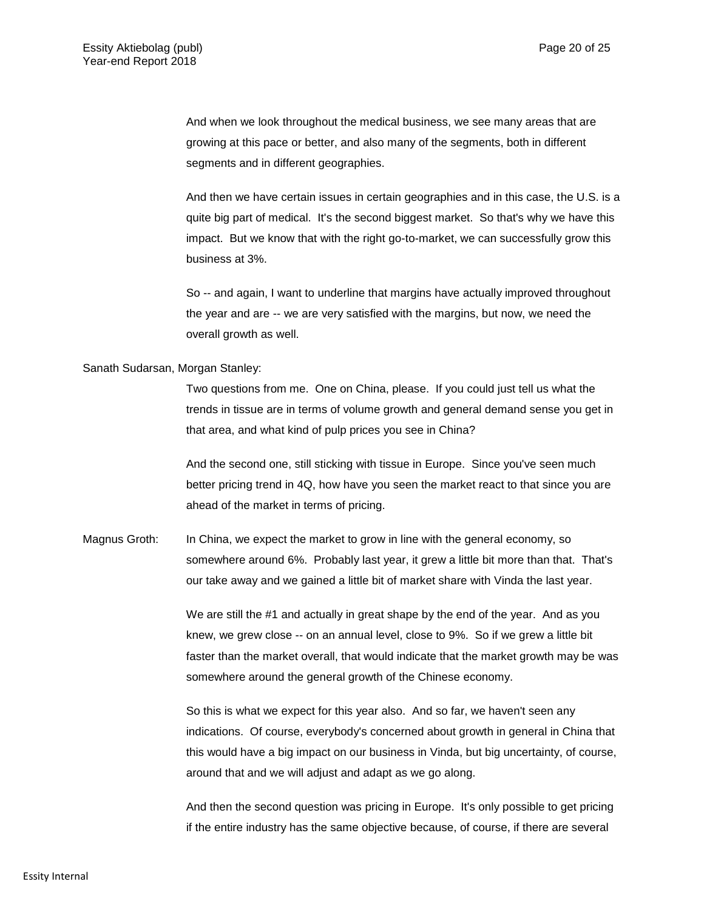And when we look throughout the medical business, we see many areas that are growing at this pace or better, and also many of the segments, both in different segments and in different geographies.

And then we have certain issues in certain geographies and in this case, the U.S. is a quite big part of medical. It's the second biggest market. So that's why we have this impact. But we know that with the right go-to-market, we can successfully grow this business at 3%.

So -- and again, I want to underline that margins have actually improved throughout the year and are -- we are very satisfied with the margins, but now, we need the overall growth as well.

### Sanath Sudarsan, Morgan Stanley:

Two questions from me. One on China, please. If you could just tell us what the trends in tissue are in terms of volume growth and general demand sense you get in that area, and what kind of pulp prices you see in China?

And the second one, still sticking with tissue in Europe. Since you've seen much better pricing trend in 4Q, how have you seen the market react to that since you are ahead of the market in terms of pricing.

Magnus Groth: In China, we expect the market to grow in line with the general economy, so somewhere around 6%. Probably last year, it grew a little bit more than that. That's our take away and we gained a little bit of market share with Vinda the last year.

> We are still the #1 and actually in great shape by the end of the year. And as you knew, we grew close -- on an annual level, close to 9%. So if we grew a little bit faster than the market overall, that would indicate that the market growth may be was somewhere around the general growth of the Chinese economy.

> So this is what we expect for this year also. And so far, we haven't seen any indications. Of course, everybody's concerned about growth in general in China that this would have a big impact on our business in Vinda, but big uncertainty, of course, around that and we will adjust and adapt as we go along.

> And then the second question was pricing in Europe. It's only possible to get pricing if the entire industry has the same objective because, of course, if there are several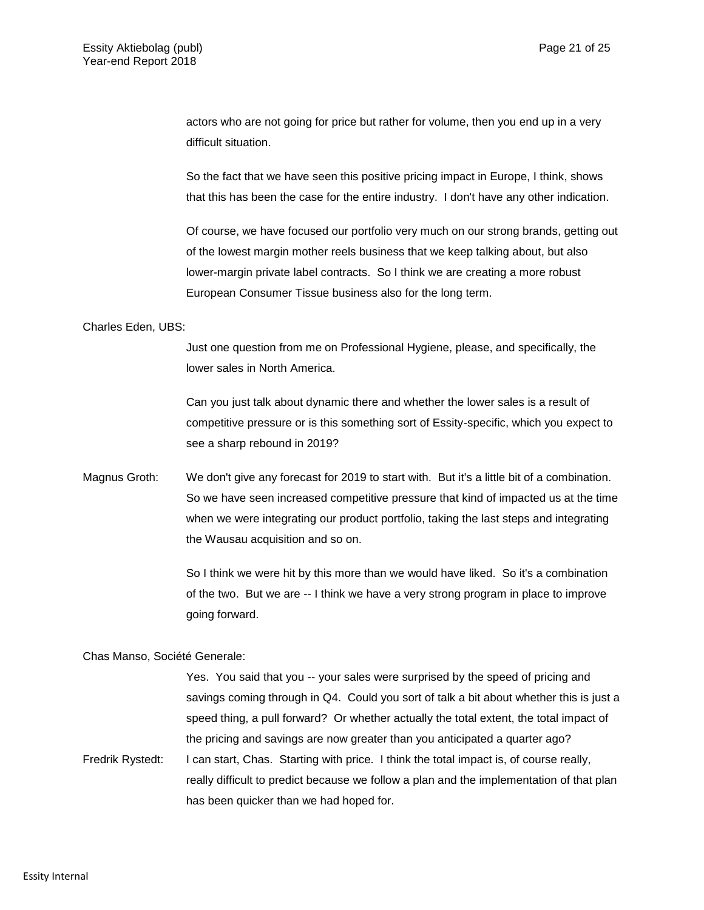actors who are not going for price but rather for volume, then you end up in a very difficult situation.

So the fact that we have seen this positive pricing impact in Europe, I think, shows that this has been the case for the entire industry. I don't have any other indication.

Of course, we have focused our portfolio very much on our strong brands, getting out of the lowest margin mother reels business that we keep talking about, but also lower-margin private label contracts. So I think we are creating a more robust European Consumer Tissue business also for the long term.

Charles Eden, UBS:

Just one question from me on Professional Hygiene, please, and specifically, the lower sales in North America.

Can you just talk about dynamic there and whether the lower sales is a result of competitive pressure or is this something sort of Essity-specific, which you expect to see a sharp rebound in 2019?

Magnus Groth: We don't give any forecast for 2019 to start with. But it's a little bit of a combination. So we have seen increased competitive pressure that kind of impacted us at the time when we were integrating our product portfolio, taking the last steps and integrating the Wausau acquisition and so on.

> So I think we were hit by this more than we would have liked. So it's a combination of the two. But we are -- I think we have a very strong program in place to improve going forward.

Chas Manso, Société Generale:

Yes. You said that you -- your sales were surprised by the speed of pricing and savings coming through in Q4. Could you sort of talk a bit about whether this is just a speed thing, a pull forward? Or whether actually the total extent, the total impact of the pricing and savings are now greater than you anticipated a quarter ago? Fredrik Rystedt: I can start, Chas. Starting with price. I think the total impact is, of course really,

really difficult to predict because we follow a plan and the implementation of that plan has been quicker than we had hoped for.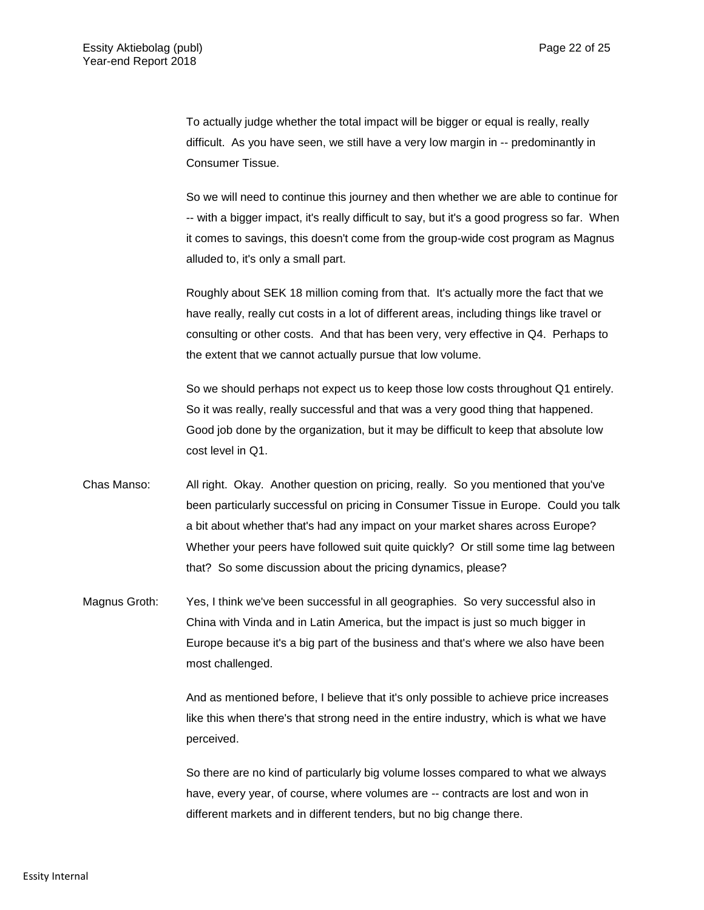To actually judge whether the total impact will be bigger or equal is really, really difficult. As you have seen, we still have a very low margin in -- predominantly in Consumer Tissue.

So we will need to continue this journey and then whether we are able to continue for -- with a bigger impact, it's really difficult to say, but it's a good progress so far. When it comes to savings, this doesn't come from the group-wide cost program as Magnus alluded to, it's only a small part.

Roughly about SEK 18 million coming from that. It's actually more the fact that we have really, really cut costs in a lot of different areas, including things like travel or consulting or other costs. And that has been very, very effective in Q4. Perhaps to the extent that we cannot actually pursue that low volume.

So we should perhaps not expect us to keep those low costs throughout Q1 entirely. So it was really, really successful and that was a very good thing that happened. Good job done by the organization, but it may be difficult to keep that absolute low cost level in Q1.

- Chas Manso: All right. Okay. Another question on pricing, really. So you mentioned that you've been particularly successful on pricing in Consumer Tissue in Europe. Could you talk a bit about whether that's had any impact on your market shares across Europe? Whether your peers have followed suit quite quickly? Or still some time lag between that? So some discussion about the pricing dynamics, please?
- Magnus Groth: Yes, I think we've been successful in all geographies. So very successful also in China with Vinda and in Latin America, but the impact is just so much bigger in Europe because it's a big part of the business and that's where we also have been most challenged.

And as mentioned before, I believe that it's only possible to achieve price increases like this when there's that strong need in the entire industry, which is what we have perceived.

So there are no kind of particularly big volume losses compared to what we always have, every year, of course, where volumes are -- contracts are lost and won in different markets and in different tenders, but no big change there.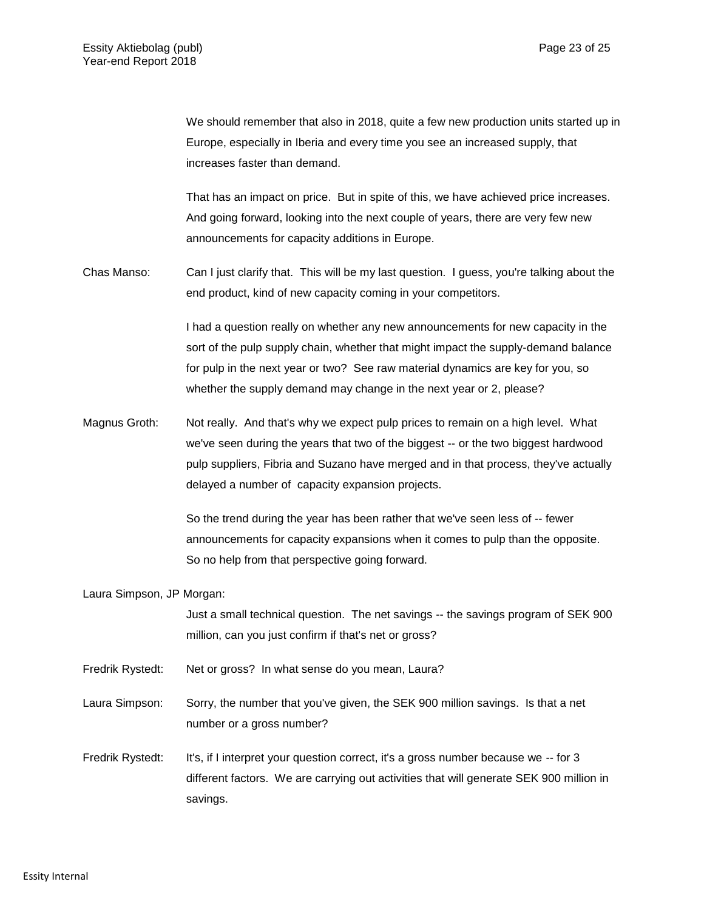We should remember that also in 2018, quite a few new production units started up in Europe, especially in Iberia and every time you see an increased supply, that increases faster than demand.

That has an impact on price. But in spite of this, we have achieved price increases. And going forward, looking into the next couple of years, there are very few new announcements for capacity additions in Europe.

Chas Manso: Can I just clarify that. This will be my last question. I guess, you're talking about the end product, kind of new capacity coming in your competitors.

> I had a question really on whether any new announcements for new capacity in the sort of the pulp supply chain, whether that might impact the supply-demand balance for pulp in the next year or two? See raw material dynamics are key for you, so whether the supply demand may change in the next year or 2, please?

Magnus Groth: Not really. And that's why we expect pulp prices to remain on a high level. What we've seen during the years that two of the biggest -- or the two biggest hardwood pulp suppliers, Fibria and Suzano have merged and in that process, they've actually delayed a number of capacity expansion projects.

> So the trend during the year has been rather that we've seen less of -- fewer announcements for capacity expansions when it comes to pulp than the opposite. So no help from that perspective going forward.

Laura Simpson, JP Morgan:

|                  | Just a small technical question. The net savings -- the savings program of SEK 900<br>million, can you just confirm if that's net or gross?                                                |
|------------------|--------------------------------------------------------------------------------------------------------------------------------------------------------------------------------------------|
| Fredrik Rystedt: | Net or gross? In what sense do you mean, Laura?                                                                                                                                            |
| Laura Simpson:   | Sorry, the number that you've given, the SEK 900 million savings. Is that a net<br>number or a gross number?                                                                               |
| Fredrik Rystedt: | It's, if I interpret your question correct, it's a gross number because we -- for 3<br>different factors. We are carrying out activities that will generate SEK 900 million in<br>savings. |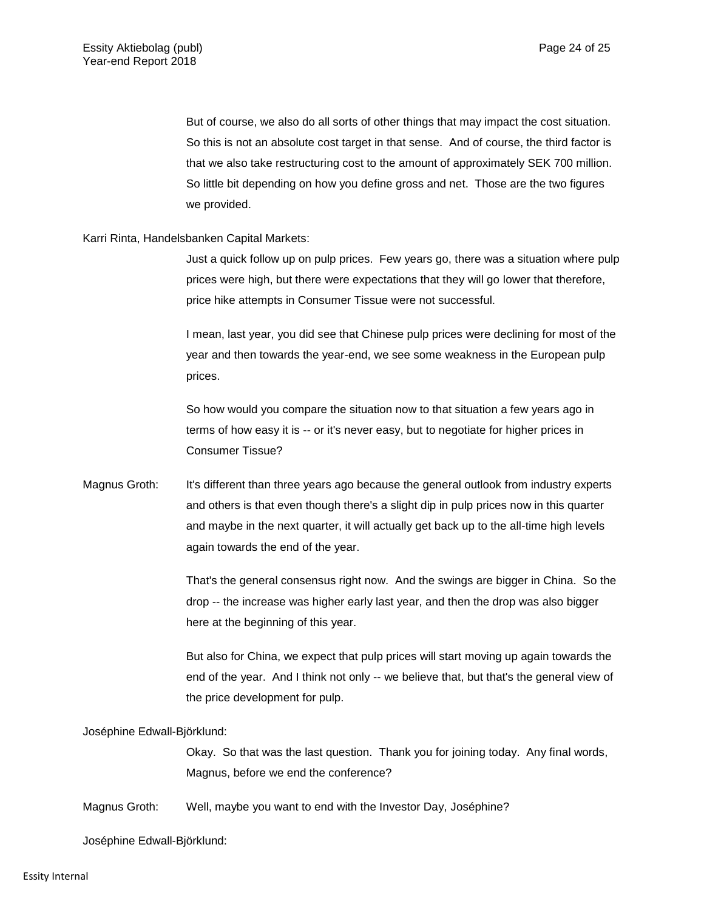But of course, we also do all sorts of other things that may impact the cost situation. So this is not an absolute cost target in that sense. And of course, the third factor is that we also take restructuring cost to the amount of approximately SEK 700 million. So little bit depending on how you define gross and net. Those are the two figures we provided.

### Karri Rinta, Handelsbanken Capital Markets:

Just a quick follow up on pulp prices. Few years go, there was a situation where pulp prices were high, but there were expectations that they will go lower that therefore, price hike attempts in Consumer Tissue were not successful.

I mean, last year, you did see that Chinese pulp prices were declining for most of the year and then towards the year-end, we see some weakness in the European pulp prices.

So how would you compare the situation now to that situation a few years ago in terms of how easy it is -- or it's never easy, but to negotiate for higher prices in Consumer Tissue?

Magnus Groth: It's different than three years ago because the general outlook from industry experts and others is that even though there's a slight dip in pulp prices now in this quarter and maybe in the next quarter, it will actually get back up to the all-time high levels again towards the end of the year.

> That's the general consensus right now. And the swings are bigger in China. So the drop -- the increase was higher early last year, and then the drop was also bigger here at the beginning of this year.

> But also for China, we expect that pulp prices will start moving up again towards the end of the year. And I think not only -- we believe that, but that's the general view of the price development for pulp.

### Joséphine Edwall-Björklund:

Okay. So that was the last question. Thank you for joining today. Any final words, Magnus, before we end the conference?

Magnus Groth: Well, maybe you want to end with the Investor Day, Joséphine?

Joséphine Edwall-Björklund: